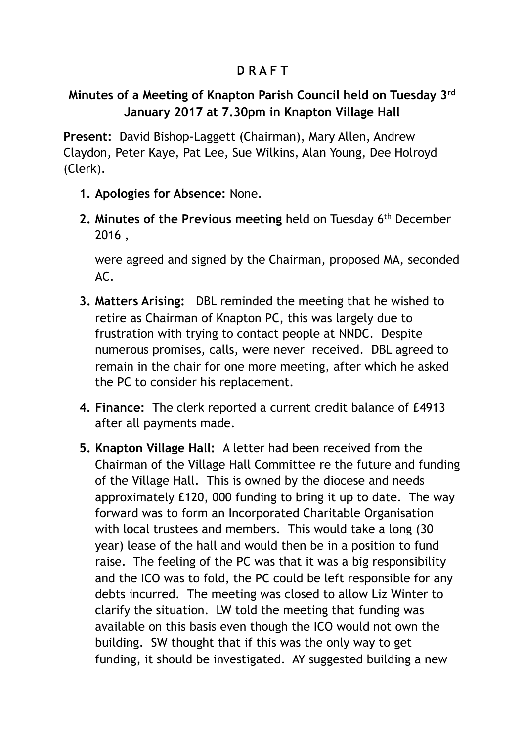## **D R A F T**

## **Minutes of a Meeting of Knapton Parish Council held on Tuesday 3rd January 2017 at 7.30pm in Knapton Village Hall**

**Present:** David Bishop-Laggett (Chairman), Mary Allen, Andrew Claydon, Peter Kaye, Pat Lee, Sue Wilkins, Alan Young, Dee Holroyd (Clerk).

- **1. Apologies for Absence:** None.
- **2. Minutes of the Previous meeting** held on Tuesday 6th December 2016 ,

were agreed and signed by the Chairman, proposed MA, seconded  $\Delta C$ 

- **3. Matters Arising:** DBL reminded the meeting that he wished to retire as Chairman of Knapton PC, this was largely due to frustration with trying to contact people at NNDC. Despite numerous promises, calls, were never received. DBL agreed to remain in the chair for one more meeting, after which he asked the PC to consider his replacement.
- **4. Finance:** The clerk reported a current credit balance of £4913 after all payments made.
- **5. Knapton Village Hall:** A letter had been received from the Chairman of the Village Hall Committee re the future and funding of the Village Hall. This is owned by the diocese and needs approximately £120, 000 funding to bring it up to date. The way forward was to form an Incorporated Charitable Organisation with local trustees and members. This would take a long (30 year) lease of the hall and would then be in a position to fund raise. The feeling of the PC was that it was a big responsibility and the ICO was to fold, the PC could be left responsible for any debts incurred. The meeting was closed to allow Liz Winter to clarify the situation. LW told the meeting that funding was available on this basis even though the ICO would not own the building. SW thought that if this was the only way to get funding, it should be investigated. AY suggested building a new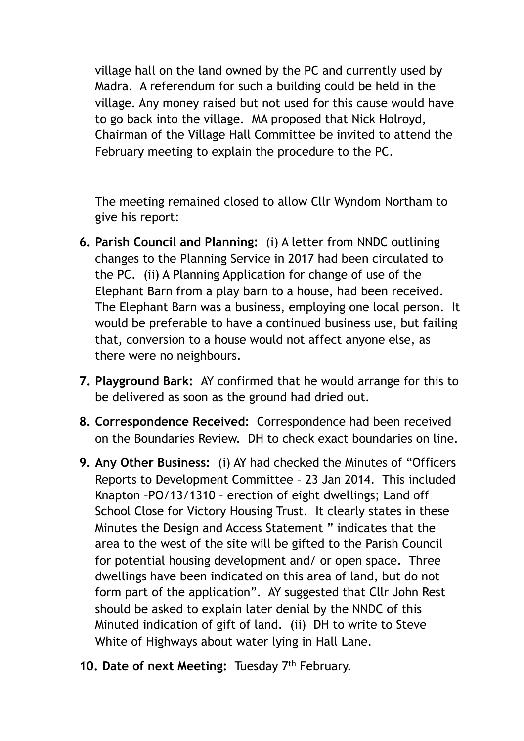village hall on the land owned by the PC and currently used by Madra. A referendum for such a building could be held in the village. Any money raised but not used for this cause would have to go back into the village. MA proposed that Nick Holroyd, Chairman of the Village Hall Committee be invited to attend the February meeting to explain the procedure to the PC.

The meeting remained closed to allow Cllr Wyndom Northam to give his report:

- **6. Parish Council and Planning:** (i) A letter from NNDC outlining changes to the Planning Service in 2017 had been circulated to the PC. (ii) A Planning Application for change of use of the Elephant Barn from a play barn to a house, had been received. The Elephant Barn was a business, employing one local person. It would be preferable to have a continued business use, but failing that, conversion to a house would not affect anyone else, as there were no neighbours.
- **7. Playground Bark:** AY confirmed that he would arrange for this to be delivered as soon as the ground had dried out.
- **8. Correspondence Received:** Correspondence had been received on the Boundaries Review. DH to check exact boundaries on line.
- **9. Any Other Business:** (i) AY had checked the Minutes of "Officers Reports to Development Committee – 23 Jan 2014. This included Knapton –PO/13/1310 – erection of eight dwellings; Land off School Close for Victory Housing Trust. It clearly states in these Minutes the Design and Access Statement " indicates that the area to the west of the site will be gifted to the Parish Council for potential housing development and/ or open space. Three dwellings have been indicated on this area of land, but do not form part of the application". AY suggested that Cllr John Rest should be asked to explain later denial by the NNDC of this Minuted indication of gift of land. (ii) DH to write to Steve White of Highways about water lying in Hall Lane.
- 10. Date of next Meeting: Tuesday 7<sup>th</sup> February.